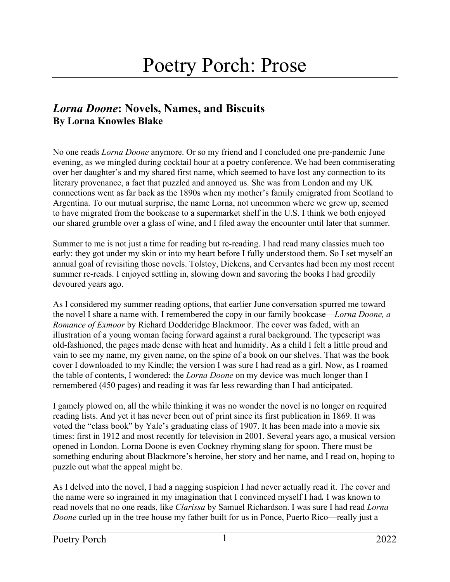## *Lorna Doone***: Novels, Names, and Biscuits By Lorna Knowles Blake**

No one reads *Lorna Doone* anymore. Or so my friend and I concluded one pre-pandemic June evening, as we mingled during cocktail hour at a poetry conference. We had been commiserating over her daughter's and my shared first name, which seemed to have lost any connection to its literary provenance, a fact that puzzled and annoyed us. She was from London and my UK connections went as far back as the 1890s when my mother's family emigrated from Scotland to Argentina. To our mutual surprise, the name Lorna, not uncommon where we grew up, seemed to have migrated from the bookcase to a supermarket shelf in the U.S. I think we both enjoyed our shared grumble over a glass of wine, and I filed away the encounter until later that summer.

Summer to me is not just a time for reading but re-reading. I had read many classics much too early: they got under my skin or into my heart before I fully understood them. So I set myself an annual goal of revisiting those novels. Tolstoy, Dickens, and Cervantes had been my most recent summer re-reads. I enjoyed settling in, slowing down and savoring the books I had greedily devoured years ago.

As I considered my summer reading options, that earlier June conversation spurred me toward the novel I share a name with. I remembered the copy in our family bookcase—*Lorna Doone, a Romance of Exmoor* by Richard Dodderidge Blackmoor. The cover was faded, with an illustration of a young woman facing forward against a rural background. The typescript was old-fashioned, the pages made dense with heat and humidity. As a child I felt a little proud and vain to see my name, my given name, on the spine of a book on our shelves. That was the book cover I downloaded to my Kindle; the version I was sure I had read as a girl. Now, as I roamed the table of contents, I wondered: the *Lorna Doone* on my device was much longer than I remembered (450 pages) and reading it was far less rewarding than I had anticipated.

I gamely plowed on, all the while thinking it was no wonder the novel is no longer on required reading lists. And yet it has never been out of print since its first publication in 1869. It was voted the "class book" by Yale's graduating class of 1907. It has been made into a movie six times: first in 1912 and most recently for television in 2001. Several years ago, a musical version opened in London. Lorna Doone is even Cockney rhyming slang for spoon. There must be something enduring about Blackmore's heroine, her story and her name, and I read on, hoping to puzzle out what the appeal might be.

As I delved into the novel, I had a nagging suspicion I had never actually read it. The cover and the name were so ingrained in my imagination that I convinced myself I had*.* I was known to read novels that no one reads, like *Clarissa* by Samuel Richardson. I was sure I had read *Lorna Doone* curled up in the tree house my father built for us in Ponce, Puerto Rico—really just a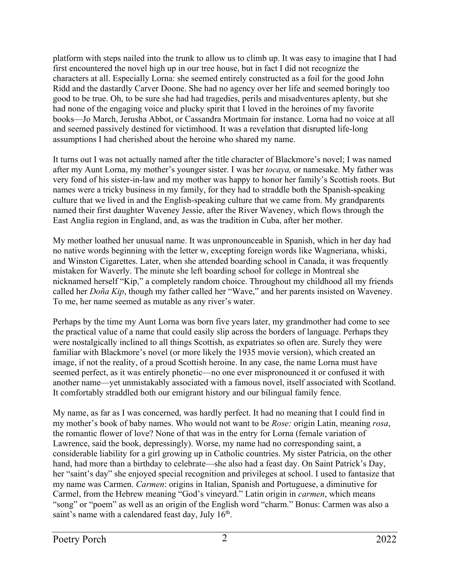platform with steps nailed into the trunk to allow us to climb up. It was easy to imagine that I had first encountered the novel high up in our tree house, but in fact I did not recognize the characters at all. Especially Lorna: she seemed entirely constructed as a foil for the good John Ridd and the dastardly Carver Doone. She had no agency over her life and seemed boringly too good to be true. Oh, to be sure she had had tragedies, perils and misadventures aplenty, but she had none of the engaging voice and plucky spirit that I loved in the heroines of my favorite books—Jo March, Jerusha Abbot, or Cassandra Mortmain for instance. Lorna had no voice at all and seemed passively destined for victimhood. It was a revelation that disrupted life-long assumptions I had cherished about the heroine who shared my name.

It turns out I was not actually named after the title character of Blackmore's novel; I was named after my Aunt Lorna, my mother's younger sister. I was her *tocaya,* or namesake. My father was very fond of his sister-in-law and my mother was happy to honor her family's Scottish roots. But names were a tricky business in my family, for they had to straddle both the Spanish-speaking culture that we lived in and the English-speaking culture that we came from. My grandparents named their first daughter Waveney Jessie, after the River Waveney, which flows through the East Anglia region in England, and, as was the tradition in Cuba, after her mother.

My mother loathed her unusual name. It was unpronounceable in Spanish, which in her day had no native words beginning with the letter w, excepting foreign words like Wagneriana, whiski, and Winston Cigarettes. Later, when she attended boarding school in Canada, it was frequently mistaken for Waverly. The minute she left boarding school for college in Montreal she nicknamed herself "Kip," a completely random choice. Throughout my childhood all my friends called her *Doña Kip*, though my father called her "Wave," and her parents insisted on Waveney. To me, her name seemed as mutable as any river's water.

Perhaps by the time my Aunt Lorna was born five years later, my grandmother had come to see the practical value of a name that could easily slip across the borders of language. Perhaps they were nostalgically inclined to all things Scottish, as expatriates so often are. Surely they were familiar with Blackmore's novel (or more likely the 1935 movie version), which created an image, if not the reality, of a proud Scottish heroine. In any case, the name Lorna must have seemed perfect, as it was entirely phonetic—no one ever mispronounced it or confused it with another name—yet unmistakably associated with a famous novel, itself associated with Scotland. It comfortably straddled both our emigrant history and our bilingual family fence.

My name, as far as I was concerned, was hardly perfect. It had no meaning that I could find in my mother's book of baby names. Who would not want to be *Rose:* origin Latin, meaning *rosa*, the romantic flower of love? None of that was in the entry for Lorna (female variation of Lawrence, said the book, depressingly). Worse, my name had no corresponding saint, a considerable liability for a girl growing up in Catholic countries. My sister Patricia, on the other hand, had more than a birthday to celebrate—she also had a feast day. On Saint Patrick's Day, her "saint's day" she enjoyed special recognition and privileges at school. I used to fantasize that my name was Carmen. *Carmen*: origins in Italian, Spanish and Portuguese, a diminutive for Carmel, from the Hebrew meaning "God's vineyard." Latin origin in *carmen*, which means "song" or "poem" as well as an origin of the English word "charm." Bonus: Carmen was also a saint's name with a calendared feast day, July  $16<sup>th</sup>$ .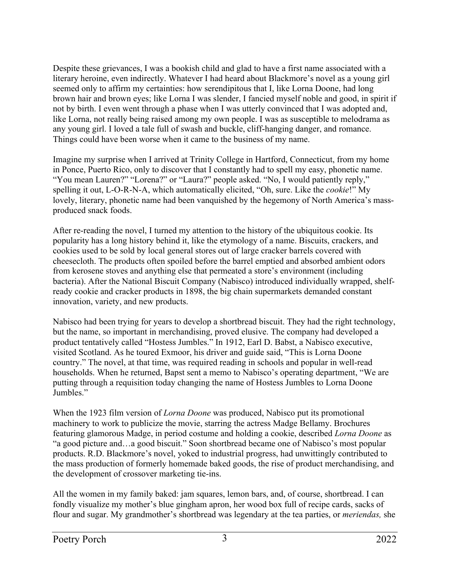Despite these grievances, I was a bookish child and glad to have a first name associated with a literary heroine, even indirectly. Whatever I had heard about Blackmore's novel as a young girl seemed only to affirm my certainties: how serendipitous that I, like Lorna Doone, had long brown hair and brown eyes; like Lorna I was slender, I fancied myself noble and good, in spirit if not by birth. I even went through a phase when I was utterly convinced that I was adopted and, like Lorna, not really being raised among my own people. I was as susceptible to melodrama as any young girl. I loved a tale full of swash and buckle, cliff-hanging danger, and romance. Things could have been worse when it came to the business of my name.

Imagine my surprise when I arrived at Trinity College in Hartford, Connecticut, from my home in Ponce, Puerto Rico, only to discover that I constantly had to spell my easy, phonetic name. "You mean Lauren?" "Lorena?" or "Laura?" people asked. "No, I would patiently reply," spelling it out, L-O-R-N-A, which automatically elicited, "Oh, sure. Like the *cookie*!" My lovely, literary, phonetic name had been vanquished by the hegemony of North America's massproduced snack foods.

After re-reading the novel, I turned my attention to the history of the ubiquitous cookie. Its popularity has a long history behind it, like the etymology of a name. Biscuits, crackers, and cookies used to be sold by local general stores out of large cracker barrels covered with cheesecloth. The products often spoiled before the barrel emptied and absorbed ambient odors from kerosene stoves and anything else that permeated a store's environment (including bacteria). After the National Biscuit Company (Nabisco) introduced individually wrapped, shelfready cookie and cracker products in 1898, the big chain supermarkets demanded constant innovation, variety, and new products.

Nabisco had been trying for years to develop a shortbread biscuit. They had the right technology, but the name, so important in merchandising, proved elusive. The company had developed a product tentatively called "Hostess Jumbles." In 1912, Earl D. Babst, a Nabisco executive, visited Scotland. As he toured Exmoor, his driver and guide said, "This is Lorna Doone country." The novel, at that time, was required reading in schools and popular in well-read households. When he returned, Bapst sent a memo to Nabisco's operating department, "We are putting through a requisition today changing the name of Hostess Jumbles to Lorna Doone Jumbles."

When the 1923 film version of *Lorna Doone* was produced, Nabisco put its promotional machinery to work to publicize the movie, starring the actress Madge Bellamy. Brochures featuring glamorous Madge, in period costume and holding a cookie, described *Lorna Doone* as "a good picture and…a good biscuit." Soon shortbread became one of Nabisco's most popular products. R.D. Blackmore's novel, yoked to industrial progress, had unwittingly contributed to the mass production of formerly homemade baked goods, the rise of product merchandising, and the development of crossover marketing tie-ins.

All the women in my family baked: jam squares, lemon bars, and, of course, shortbread. I can fondly visualize my mother's blue gingham apron, her wood box full of recipe cards, sacks of flour and sugar. My grandmother's shortbread was legendary at the tea parties, or *meriendas,* she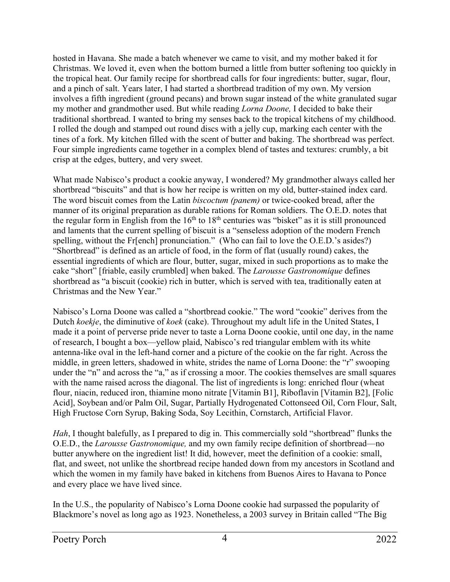hosted in Havana. She made a batch whenever we came to visit, and my mother baked it for Christmas. We loved it, even when the bottom burned a little from butter softening too quickly in the tropical heat. Our family recipe for shortbread calls for four ingredients: butter, sugar, flour, and a pinch of salt. Years later, I had started a shortbread tradition of my own. My version involves a fifth ingredient (ground pecans) and brown sugar instead of the white granulated sugar my mother and grandmother used. But while reading *Lorna Doone,* I decided to bake their traditional shortbread. I wanted to bring my senses back to the tropical kitchens of my childhood. I rolled the dough and stamped out round discs with a jelly cup, marking each center with the tines of a fork. My kitchen filled with the scent of butter and baking. The shortbread was perfect. Four simple ingredients came together in a complex blend of tastes and textures: crumbly, a bit crisp at the edges, buttery, and very sweet.

What made Nabisco's product a cookie anyway, I wondered? My grandmother always called her shortbread "biscuits" and that is how her recipe is written on my old, butter-stained index card. The word biscuit comes from the Latin *biscoctum (panem)* or twice-cooked bread, after the manner of its original preparation as durable rations for Roman soldiers. The O.E.D. notes that the regular form in English from the  $16<sup>th</sup>$  to  $18<sup>th</sup>$  centuries was "bisket" as it is still pronounced and laments that the current spelling of biscuit is a "senseless adoption of the modern French spelling, without the Fr[ench] pronunciation." (Who can fail to love the O.E.D.'s asides?) "Shortbread" is defined as an article of food, in the form of flat (usually round) cakes, the essential ingredients of which are flour, butter, sugar, mixed in such proportions as to make the cake "short" [friable, easily crumbled] when baked. The *Larousse Gastronomique* defines shortbread as "a biscuit (cookie) rich in butter, which is served with tea, traditionally eaten at Christmas and the New Year."

Nabisco's Lorna Doone was called a "shortbread cookie." The word "cookie" derives from the Dutch *koekje*, the diminutive of *koek* (cake). Throughout my adult life in the United States, I made it a point of perverse pride never to taste a Lorna Doone cookie, until one day, in the name of research, I bought a box—yellow plaid, Nabisco's red triangular emblem with its white antenna-like oval in the left-hand corner and a picture of the cookie on the far right. Across the middle, in green letters, shadowed in white, strides the name of Lorna Doone: the "r" swooping under the "n" and across the "a," as if crossing a moor. The cookies themselves are small squares with the name raised across the diagonal. The list of ingredients is long: enriched flour (wheat flour, niacin, reduced iron, thiamine mono nitrate [Vitamin B1], Riboflavin [Vitamin B2], [Folic Acid], Soybean and/or Palm Oil, Sugar, Partially Hydrogenated Cottonseed Oil, Corn Flour, Salt, High Fructose Corn Syrup, Baking Soda, Soy Lecithin, Cornstarch, Artificial Flavor.

*Hah*, I thought balefully, as I prepared to dig in. This commercially sold "shortbread" flunks the O.E.D., the *Larousse Gastronomique,* and my own family recipe definition of shortbread—no butter anywhere on the ingredient list! It did, however, meet the definition of a cookie: small, flat, and sweet, not unlike the shortbread recipe handed down from my ancestors in Scotland and which the women in my family have baked in kitchens from Buenos Aires to Havana to Ponce and every place we have lived since.

In the U.S., the popularity of Nabisco's Lorna Doone cookie had surpassed the popularity of Blackmore's novel as long ago as 1923. Nonetheless, a 2003 survey in Britain called "The Big